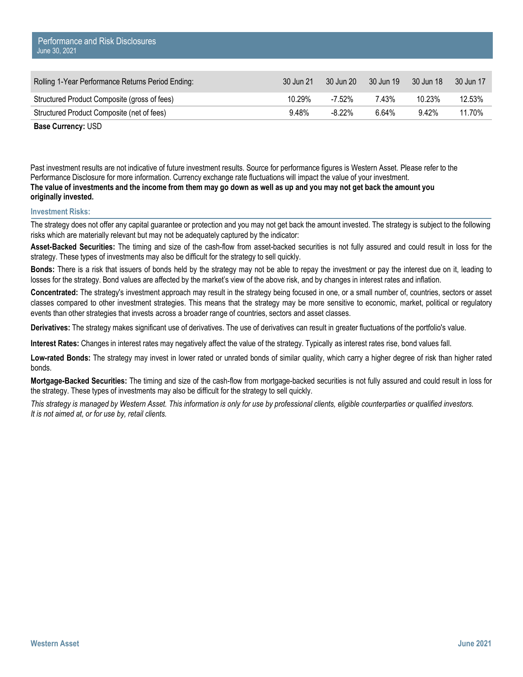| Rolling 1-Year Performance Returns Period Ending: | 30 Jun 21 | 30 Jun 20 | 30 Jun 19 | 30 Jun 18 | 30 Jun 17 |
|---------------------------------------------------|-----------|-----------|-----------|-----------|-----------|
| Structured Product Composite (gross of fees)      | 10.29%    | -7.52%    | 7.43%     | 10.23%    | 12.53%    |
| Structured Product Composite (net of fees)        | 9.48%     | -8.22%    | 6.64%     | 9.42%     | 11.70%    |

**Base Currency:** USD

Past investment results are not indicative of future investment results. Source for performance figures is Western Asset. Please refer to the Performance Disclosure for more information. Currency exchange rate fluctuations will impact the value of your investment. **The value of investments and the income from them may go down as well as up and you may not get back the amount you originally invested.** 

## **Investment Risks:**

The strategy does not offer any capital guarantee or protection and you may not get back the amount invested. The strategy is subject to the following risks which are materially relevant but may not be adequately captured by the indicator:

**Asset-Backed Securities:** The timing and size of the cash-flow from asset-backed securities is not fully assured and could result in loss for the strategy. These types of investments may also be difficult for the strategy to sell quickly.

**Bonds:** There is a risk that issuers of bonds held by the strategy may not be able to repay the investment or pay the interest due on it, leading to losses for the strategy. Bond values are affected by the market's view of the above risk, and by changes in interest rates and inflation.

**Concentrated:** The strategy's investment approach may result in the strategy being focused in one, or a small number of, countries, sectors or asset classes compared to other investment strategies. This means that the strategy may be more sensitive to economic, market, political or regulatory events than other strategies that invests across a broader range of countries, sectors and asset classes.

**Derivatives:** The strategy makes significant use of derivatives. The use of derivatives can result in greater fluctuations of the portfolio's value.

**Interest Rates:** Changes in interest rates may negatively affect the value of the strategy. Typically as interest rates rise, bond values fall.

**Low-rated Bonds:** The strategy may invest in lower rated or unrated bonds of similar quality, which carry a higher degree of risk than higher rated bonds.

**Mortgage-Backed Securities:** The timing and size of the cash-flow from mortgage-backed securities is not fully assured and could result in loss for the strategy. These types of investments may also be difficult for the strategy to sell quickly.

*This strategy is managed by Western Asset. This information is only for use by professional clients, eligible counterparties or qualified investors. It is not aimed at, or for use by, retail clients.*